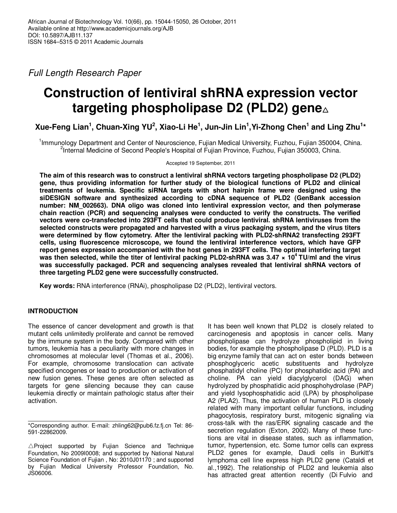Full Length Research Paper

# **Construction of lentiviral shRNA expression vector targeting phospholipase D2 (PLD2) gene**△

**Xue-Feng Lian<sup>1</sup> , Chuan-Xing YU<sup>2</sup> , Xiao-Li He<sup>1</sup> , Jun-Jin Lin<sup>1</sup> ,Yi-Zhong Chen<sup>1</sup> and Ling Zhu<sup>1</sup> \***

<sup>1</sup>Immunology Department and Center of Neuroscience, Fujian Medical University, Fuzhou, Fujian 350004, China. <sup>2</sup>Internal Medicine of Second People's Hospital of Fujian Province, Fuzhou, Fujian 350003, China.

Accepted 19 September, 2011

**The aim of this research was to construct a lentiviral shRNA vectors targeting phospholipase D2 (PLD2) gene, thus providing information for further study of the biological functions of PLD2 and clinical treatments of leukemia. Specific siRNA targets with short hairpin frame were designed using the siDESIGN software and synthesized according to cDNA sequence of PLD2 (GenBank accession number: NM\_002663). DNA oligo was cloned into lentiviral expression vector, and then polymerase chain reaction (PCR) and sequencing analyses were conducted to verify the constructs. The verified vectors were co-transfected into 293FT cells that could produce lentiviral. shRNA lentiviruses from the selected constructs were propagated and harvested with a virus packaging system, and the virus titers were determined by flow cytometry. After the lentiviral packing with PLD2-shRNA2 transfecting 293FT cells, using fluorescence microscope, we found the lentiviral interference vectors, which have GFP report genes expression accompanied with the host genes in 293FT cells. The optimal interfering target was then selected, while the titer of lentiviral packing PLD2-shRNA was 3.47 × 10<sup>4</sup>TU/ml and the virus was successfully packaged. PCR and sequencing analyses revealed that lentiviral shRNA vectors of three targeting PLD2 gene were successfully constructed.** 

**Key words:** RNA interference (RNAi), phospholipase D2 (PLD2), lentiviral vectors.

# **INTRODUCTION**

The essence of cancer development and growth is that mutant cells unlimitedly proliferate and cannot be removed by the immune system in the body. Compared with other tumors, leukemia has a peculiarity with more changes in chromosomes at molecular level (Thomas et al., 2006). For example, chromosome translocation can activate specified oncogenes or lead to production or activation of new fusion genes. These genes are often selected as targets for gene silencing because they can cause leukemia directly or maintain pathologic status after their activation.

It has been well known that PLD2 is closely related to carcinogenesis and apoptosis in cancer cells. Many phospholipase can hydrolyze phospholipid in living bodies, for example the phospholipase D (PLD). PLD is a big enzyme family that can act on ester bonds between phosphoglyceric acetic substituents and hydrolyze phosphatidyl choline (PC) for phosphatidic acid (PA) and choline. PA can yield diacylglycerol (DAG) when hydrolyzed by phosphatidic acid phosphohydrolase (PAP) and yield lysophosphatidic acid (LPA) by phospholipase A2 (PLA2). Thus, the activation of human PLD is closely related with many important cellular functions, including phagocytosis, respiratory burst, mitogenic signaling via cross-talk with the ras/ERK signaling cascade and the secretion regulation (Exton, 2002). Many of these functions are vital in disease states, such as inflammation, tumor, hypertension, etc. Some tumor cells can express PLD2 genes for example, Daudi cells in Burkitt's lymphoma cell line express high PLD2 gene (Cataldi et al.,1992). The relationship of PLD2 and leukemia also has attracted great attention recently (Di Fulvio and

<sup>\*</sup>Corresponding author. E-mail: zhling62@pub6.fz.fj.cn Tel: 86- 591-22862009.

 $\triangle$ Project supported by Fujian Science and Technique Foundation, No 2009I0008; and supported by National Natural Science Foundation of Fujian , No: 2010J01170 ; and supported by Fujian Medical University Professor Foundation, No. JS06006.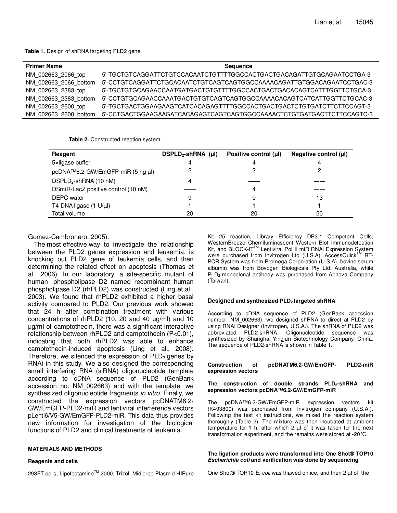**Table 1.** Design of shRNA targeting PLD2 gene.

| <b>Primer Name</b>    | <b>Sequence</b>                                                       |
|-----------------------|-----------------------------------------------------------------------|
| NM 002663 2066 top    |                                                                       |
| NM 002663 2066 bottom | 5'-CCTGTCAGGATTCTGCACAATCTGTCAGTCAGTGGCCAAAACAGATTGTGGACAGAATCCTGAC-3 |
| NM 002663 2383 top    |                                                                       |
| NM 002663 2383 bottom | 5'-CCTGTGCAGAACCAAATGACTGTGTCAGTCAGTGGCCAAAACACAGTCATCATTGGTTCTGCAC-3 |
| NM 002663 2600 top    |                                                                       |
| NM 002663 2600 bottom | 5'-CCTGACTGGAAGAAGATCACAGAGTCAGTCAGTGGCCAAAACTCTGTGATGACTTCTTCCAGTC-3 |

**Table 2.** Constructed reaction system.

| Reagent                             | $DSPLD2-shRNA$ (µI) | Positive control (µl) | Negative control $(\mu I)$ |
|-------------------------------------|---------------------|-----------------------|----------------------------|
| 5xligase buffer                     | 4                   |                       |                            |
| pcDNA™6.2-GW/EmGFP-miR (5 ng µl)    |                     |                       |                            |
| DSPLD <sub>2</sub> -shRNA (10 nM)   | 4                   |                       |                            |
| DSmiR-LacZ positive control (10 nM) |                     |                       |                            |
| <b>DEPC</b> water                   | 9                   | 9                     | 13                         |
| T4 DNA ligase $(1 U/\mu l)$         |                     |                       |                            |
| Total volume                        | 20                  | 20                    | 20                         |

Gomez-Cambronero, 2005).

The most effective way to investigate the relationship between the PLD2 genes expression and leukemia, is knocking out PLD2 gene of leukemia cells, and then determining the related effect on apoptosis (Thomas et al., 2006). In our laboratory, a site-specific mutant of human phospholipase D2 named recombinant human phospholipase D2 (rhPLD2) was constructed (Ling et al., 2003). We found that rhPLD2 exhibited a higher basal activity compared to PLD2. Our previous work showed that 24 h after combination treatment with various concentrations of rhPLD2 (10, 20 and 40 µg/ml) and 10 µg/ml of camptothecin, there was a significant interactive relationship between rhPLD2 and camptothecin (P<0.01), indicating that both rhPLD2 was able to enhance camptothecin-induced apoptosis (Ling et al., 2008). Therefore, we silenced the expression of  $PLD<sub>2</sub>$  genes by RNAi in this study. We also designed the corresponding small interfering RNA (siRNA) oligonucleotide template according to cDNA sequence of PLD2 (GenBank accession no: NM\_002663) and with the template, we synthesized oligonucleotide fragments in vitro. Finally, we constructed the expression vectors pcDNATM6.2- GW/EmGFP-PLD2-miR and lentiviral interference vectors pLenti6/V5-GW/EmGFP-PLD2-miR. This data thus provides new information for investigation of the biological functions of PLD2 and clinical treatments of leukemia.

## **MATERIALS AND METHODS**

#### **Reagents and cells**

293FT cells, Lipofectamine<sup>™</sup> 2000, Trizol, Midiprep Plasmid HIPure

Kit 25 reaction, Library Efficiency DB3.1 Competent Cells, WesternBreeze Chemiluminescent Western Blot Immunodetection Kit, and BLOCK-iT™ Lentiviral Pol II miR RNAi Expression System were purchased from Invitrogen Ltd (U.S.A). AccessQuick<sup>TM</sup> RT-PCR System was from Promega Corporation (U.S.A), bovine serum albumin was from Bovogen Biologicals Pty Ltd. Australia, while PLD<sub>2</sub> monoclonal antibody was purchased from Abnova Company (Taiwan).

#### **Designed and synthesized PLD2 targeted shRNA**

According to cDNA sequence of PLD2 (GenBank accession number: NM\_002663), we designed shRNA to direct at PLD2 by using RNAi Designer (Invitrogen, U.S.A.). The shRNA of PLD2 was abbreviated PLD2-shRNA. Oligonucleotide sequence was synthesized by Shanghai Yingjun Biotechnology Company, China. The sequence of PLD2-shRNA is shown in Table 1.

#### **Construction of pcDNATM6.2-GW/EmGFP- PLD2-miR expression vectors**

#### **The construction of double strands PLD2-shRNA and expression vectors pcDNA™6.2-GW/EmGFP-miR**

The pcDNA™6.2-GW/EmGFP-miR expression vectors kit (K493800) was purchased from Invitrogen company (U.S.A.). Following the test kit instructions, we mixed the reaction system thoroughly (Table 2). The mixture was then incubated at ambient temperature for 1 h, after which 2  $\mu$ l of it was taken for the next transformation experiment, and the remains were stored at -20°C.

#### **The ligation products were transformed into One Shot® TOP10 Escherichia coli and verification was done by sequencing**

One Shot® TOP10 E. coli was thawed on ice, and then  $2 \mu$  of the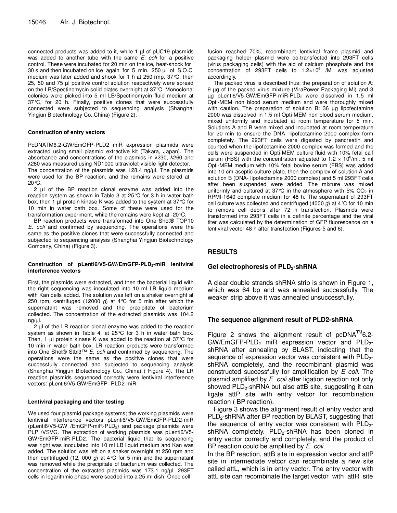connected products was added to it, while 1 µl of pUC19 plasmids was added to another tube with the same E. coli for a positive control. These were incubated for 20 min on the ice, heat-shock for 30 s and then incubated on ice again for 5 min. 250 µl of S.O.C medium was later added and shook for 1 h at 250 rmp, 37°C, then 25, 50 and 75 µl positive control solution respectively were spread on the LB/Spectinomycin solid plates overnight at 37°C. Monoclonal colonies were picked into 5 ml LB/Spectinomycin fluid medium at 37°C, for 20 h. Finally, positive clones that were successfully connected were subjected to sequencing analysis (Shanghai Yingjun Biotechnology Co.,China) (Figure 2).

#### **Construction of entry vectors**

PcDNATM6.2-GW/EmGFP-PLD2 miR expression plasmids were extracted using small plasmid extractive kit (Takara, Japan). The absorbance and concentrations of the plasmids in λ230, λ260 and λ280 was measured using ND1000 ultraviolet-visible light detector.

The concentration of the plasmids was 128.4 ng/µl. The plasmids were used for the BP reaction, and the remains were stored at - 20°C.

2 µl of the BP reaction clonal enzyme was added into the reaction system as shown in Table 3 at 25°C for 3 h in water bath box, then 1 µl protein kinase K was added to the system at 37 °C for 10 min in water bath box. Some of these were used for the transformation experiment, while the remains were kept at -20°C.

BP reaction products were transformed into One Shot® TOP10 E. coli and confirmed by sequencing. The operations were the same as the positive clones that were successfully connected and subjected to sequencing analysis (Shanghai Yingjun Biotechnology Company, China) (Figure 3).

#### **Construction of pLenti6/V5-GW/EmGFP-PLD2-miR lentiviral interference vectors**

First, the plasmids were extracted, and then the bacterial liquid with the right sequencing was inoculated into 10 ml LB liquid medium with Kan cells added. The solution was left on a shaker overnight at 250 rpm, centrifuged (12000 g) at 4 °C for 5 min after which the supernatant was removed and the precipitate of bacterium collected. The concentration of the extracted plasmids was 104.2  $ng/µl.$ 

2 µl of the LR reaction clonal enzyme was added to the reaction system as shown in Table 4, at 25°C for 3 h in water bath box. Then, 1  $\mu$  protein kinase K was added to the reaction at 37 $\degree$ C for 10 min in water bath box. LR reaction products were transformed into One Shot® Stbl3™ E. coli and confirmed by sequencing. The operations were the same as the positive clones that were successfully connected and subjected to sequencing analysis (Shanghai Yingjun Biotechnology Co., China) ( Figure 4). The LR reaction plasmids sequenced correctly were lentiviral interference vectors: pLenti6/V5-GW/EmGFP- PLD2-miR.

#### **Lentiviral packaging and titer testing**

We used four plasmid package systems; the working plasmids were lentiviral interference vectors pLenti6/V5-GW/EmGFP-PLD2-miR (pLenti6/V5-GW /EmGFP-miR-PLD2) and package plasmids were PLP /VSVG. The extraction of working plasmids was pLenti6/V5- GW/EmGFP-miR-PLD2. The bacterial liquid that its sequencing was right was inoculated into 10 ml LB liquid medium and Kan was added. The solution was left on a shaker overnight at 250 rpm and then centrifuged (12, 000 g) at 4 °C for 5 min and the supernatant was removed while the precipitate of bacterium was collected. The concentration of the extracted plasmids was 173.1 ng/µl. 293FT cells in logarithmic phase were seeded into a 25 ml dish. Once cell

fusion reached 70%, recombinant lentiviral frame plasmid and packaging helper plasmid were co-transfected into 293FT cells (virus packaging cells) with the aid of calcium phosphate and the concentration of 293FT cells to  $1.2 \times 10^6$  /MI was adjusted accordingly.

The packed virus is described thus: the preparation of solution A: 9 µg of the packed virus mixture (ViraPower Packaging Mi) and 3 µg pLenti6/V5-GW/EmGFP-miR-PLD2 were dissolved in 1.5 ml Opti-MEM non blood serum medium and were thoroughly mixed with caution. The preparation of solution B: 36 µg lipofectamine 2000 was dissolved in 1.5 ml Opti-MEM non blood serum medium, mixed uniformly and incubated at room temperature for 5 min. Solutions A and B were mixed and incubated at room temperature for 20 min to ensure the DNA- lipofectamine 2000 complex form completely. The 293FT cells were digested by pancreatin and counted when the lipofectamine 2000 complex was formed and the cells were suspended in Opti-MEM culture fluid with 10% fetal calf serum (FBS) with the concentration adjusted to 1.2  $\times$  10<sup>6</sup>/ml. 5 ml Opti-MEM medium with 10% fetal bovine serum (FBS) was added into 10 cm aseptic culture plate, then the complex of solution A and solution B (DNA- lipofectamine 2000 complex) and 5 ml 293FT cells after been suspended were added. The mixture was mixed uniformly and cultured at 37 $\degree$ C in the atmosphere with 5% CO<sub>2</sub> in RPMI-1640 complete medium for 48 h. The supernatant of 293FT cell culture was collected and centrifuged (4000 g) at 4  $\degree$ C for 10 min to remove cell debris after 72 h transfection. Plasmids were transformed into 293FT cells in a definite percentage and the viral titer was calculated by the determination of GFP fluorescence on a lentiviral vector 48 h after transfection (Figures 5 and 6).

# **RESULTS**

# **Gel electrophoresis of PLD2-shRNA**

A clear double strands shRNA strip is shown in Figure 1, which was 64 bp and was annealed successfully. The weaker strip above it was annealed unsuccessfully.

# **The sequence alignment result of PLD2-shRNA**

Figure 2 shows the alignment result of  $pcDNA^{TM}6.2 GW/EmGFP-PLD<sub>2</sub>$  miR expression vector and  $PLD<sub>2</sub>$ shRNA after annealing by BLAST, indicating that the sequence of expression vector was consistent with  $PLD_{2}$ shRNA completely, and the recombinant plasmid was constructed successfully for amplification by  $E$  coli. The plasmid amplified by E. coli after ligation reaction not only showed  $PLD<sub>2</sub>$ -shRNA but also attB site, suggesting it can ligate attP site with entry vetcor for recombination reaction ( BP reaction).

Figure 3 shows the alignment result of entry vector and  $PLD<sub>2</sub>$ -shRNA after BP reaction by BLAST, suggesting that the sequence of entry vector was consistent with  $PLD<sub>2</sub>$ shRNA completely.  $PLD_2$ -shRNA has been cloned in entry vector correctly and completely, and the product of BP reaction could be amplified by E. coli.

In the BP reaction, attB site in expression vector and attP site in intermediate vetcor can recombinate a new site called attL, which is in entry vector. The entry vector with attL site can recombinate the target vector with attR site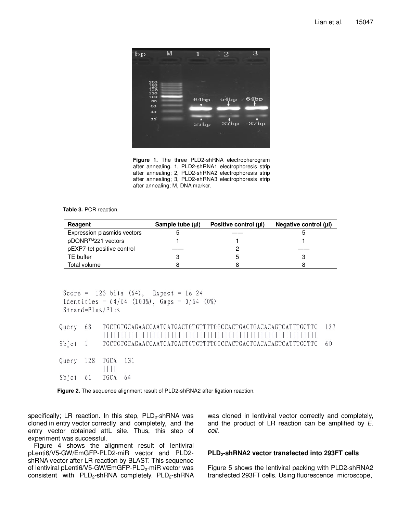

**Figure 1.** The three PLD2-shRNA electropherogram after annealing. 1, PLD2-shRNA1 electrophoresis strip after annealing; 2, PLD2-shRNA2 electrophoresis strip after annealing; 3, PLD2-shRNA3 electrophoresis strip after annealing; M, DNA marker.

**Table 3.** PCR reaction.

| Reagent                     | Sample tube (µl) | Positive control (µl) | Negative control (µl) |
|-----------------------------|------------------|-----------------------|-----------------------|
| Expression plasmids vectors |                  |                       |                       |
| pDONR™221 vectors           |                  |                       |                       |
| pEXP7-tet positive control  |                  |                       |                       |
| TE buffer                   |                  |                       |                       |
| Total volume                |                  |                       |                       |

```
Score = 123 bits (64), Expect = 1e-24
Identities = 64/64 (100%), Gaps = 0/64 (0%)
Strand =Plus/Plus
Query 68
     127
      Sbjot
   \mathbf{1}60
   128
     TGCA 131
Query
      1111TGCA 64
Sbjet
   61
```


specifically; LR reaction. In this step, PLD<sub>2</sub>-shRNA was cloned in entry vector correctly and completely, and the entry vector obtained attL site. Thus, this step of experiment was successful.

Figure 4 shows the alignment result of lentiviral pLenti6/V5-GW/EmGFP-PLD2-miR vector and PLD2 shRNA vector after LR reaction by BLAST. This sequence of lentiviral pLenti6/V5-GW/EmGFP-PLD<sub>2</sub>-miR vector was consistent with  $PLD<sub>2</sub>$ -shRNA completely.  $PLD<sub>2</sub>$ -shRNA was cloned in lentiviral vector correctly and completely, and the product of LR reaction can be amplified by E. coli.

## **PLD2-shRNA2 vector transfected into 293FT cells**

Figure 5 shows the lentiviral packing with PLD2-shRNA2 transfected 293FT cells. Using fluorescence microscope,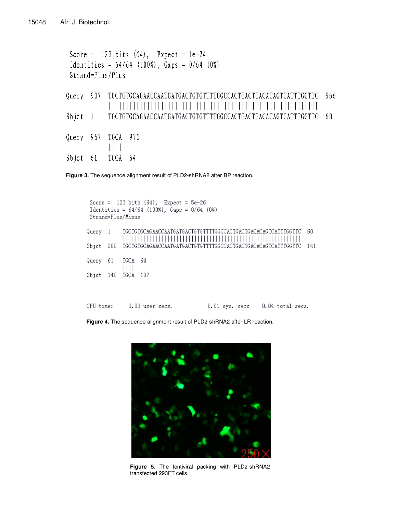```
Score = 123 \text{ bits } (64), Expect = 1e-24Identities = 64/64 (100%), Gaps = 0/64 (0%)
Strand=Plus/Plus
Sbjct 1Query 967
    TGCA 970
     \mathbf{H}TGCA 64
Sbjct 61
```
**Figure 3.** The sequence alignment result of PLD2-shRNA2 after BP reaction.

| Strand=Plus/Minus |                   | Score = $123 \text{ bits } (64)$ , Expect = $5e-26$<br>Identities = $64/64$ (100%), $Gaps = 0/64$ (0%) |  |  |  |  |  |                                 |       |
|-------------------|-------------------|--------------------------------------------------------------------------------------------------------|--|--|--|--|--|---------------------------------|-------|
| Query 1           |                   |                                                                                                        |  |  |  |  |  |                                 | 60    |
| Sbict 200         |                   |                                                                                                        |  |  |  |  |  |                                 | - 141 |
| Query 61          | TGCA 64<br>$\Box$ |                                                                                                        |  |  |  |  |  |                                 |       |
| Sbjct 140         | TGCA              | -137                                                                                                   |  |  |  |  |  |                                 |       |
|                   |                   |                                                                                                        |  |  |  |  |  |                                 |       |
| CPU time:         |                   | $0.03$ user secs.                                                                                      |  |  |  |  |  | 0.01 sys. secs 0.04 total secs. |       |

**Figure 4.** The sequence alignment result of PLD2-shRNA2 after LR reaction.



**Figure 5.** The lentiviral packing with PLD2-shRNA2 transfected 293FT cells.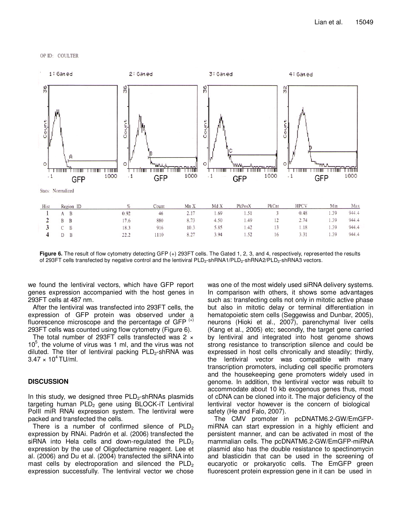



Figure 6. The result of flow cytometry detecting GFP (+) 293FT cells. The Gated 1, 2, 3, and 4, respectively, represented the results of 293FT cells transfected by negative control and the lentiviral PLD<sub>2</sub>-shRNA1/PLD<sub>2</sub>-shRNA2/PLD<sub>2</sub>-shRNA3 vectors.

we found the lentiviral vectors, which have GFP report genes expression accompanied with the host genes in 293FT cells at 487 nm.

After the lentiviral was transfected into 293FT cells, the expression of GFP protein was observed under a fluorescence microscope and the percentage of GFP $(+)$ 293FT cells was counted using flow cytometry (Figure 6).

The total number of 293FT cells transfected was 2  $\times$  $10<sup>5</sup>$ , the volume of virus was 1 ml, and the virus was not diluted. The titer of lentiviral packing  $PLD<sub>2</sub>$ -shRNA was  $3.47 \times 10^{4}$  TU/ml.

## **DISCUSSION**

In this study, we designed three  $PLD<sub>2</sub>$ -shRNAs plasmids targeting human  $PLD<sub>2</sub>$  gene using BLOCK-iT Lentiviral PolII miR RNAi expression system. The lentiviral were packed and transfected the cells.

There is a number of confirmed silence of  $PLD<sub>2</sub>$ expression by RNAi. Padrón et al. (2006) transfected the siRNA into Hela cells and down-regulated the  $PLD<sub>2</sub>$ expression by the use of Oligofectamine reagent. Lee et al. (2006) and Du et al. (2004) transfected the siRNA into mast cells by electroporation and silenced the  $PLD<sub>2</sub>$ expression successfully. The lentiviral vector we chose was one of the most widely used siRNA delivery systems. In comparison with others, it shows some advantages such as: transfecting cells not only in mitotic active phase but also in mitotic delay or terminal differentiation in hematopoietic stem cells (Seggewiss and Dunbar, 2005), neurons (Hioki et al., 2007), parenchymal liver cells (Kang et al., 2005) etc; secondly, the target gene carried by lentiviral and integrated into host genome shows strong resistance to transcription silence and could be expressed in host cells chronically and steadily; thirdly, the lentiviral vector was compatible with many transcription promoters, including cell specific promoters and the housekeeping gene promoters widely used in genome. In addition, the lentiviral vector was rebuilt to accommodate about 10 kb exogenous genes thus, most of cDNA can be cloned into it. The major deficiency of the lentiviral vector however is the concern of biological safety (He and Falo, 2007).

The CMV promoter in pcDNATM6.2-GW/EmGFPmiRNA can start expression in a highly efficient and persistent manner, and can be activated in most of the mammalian cells. The pcDNATM6.2-GW/EmGFP-miRNA plasmid also has the double resistance to spectinomycin and blasticidin that can be used in the screening of eucaryotic or prokaryotic cells. The EmGFP green fluorescent protein expression gene in it can be used in